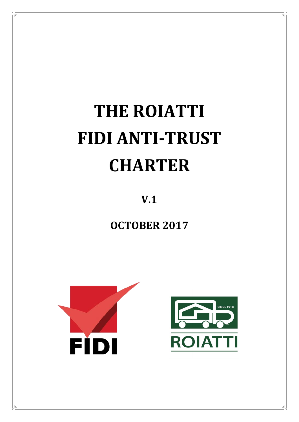# **THE ROIATTI FIDI ANTI-TRUST CHARTER**

**V.1**

**OCTOBER 2017**

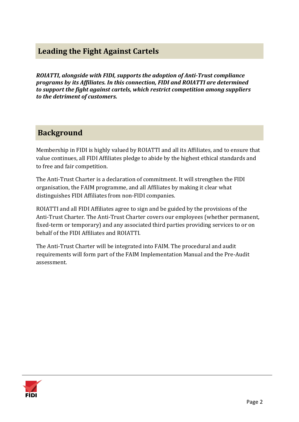# **Leading the Fight Against Cartels**

*ROIATTI, alongside with FIDI, supports the adoption of Anti-Trust compliance programs by its Affiliates. In this connection, FIDI and ROIATTI are determined to support the fight against cartels, which restrict competition among suppliers to the detriment of customers.* 

## **Background**

Membership in FIDI is highly valued by ROIATTI and all its Affiliates, and to ensure that value continues, all FIDI Affiliates pledge to abide by the highest ethical standards and to free and fair competition.

The Anti-Trust Charter is a declaration of commitment. It will strengthen the FIDI organisation, the FAIM programme, and all Affiliates by making it clear what distinguishes FIDI Affiliates from non-FIDI companies.

ROIATTI and all FIDI Affiliates agree to sign and be guided by the provisions of the Anti-Trust Charter. The Anti-Trust Charter covers our employees (whether permanent, fixed-term or temporary) and any associated third parties providing services to or on behalf of the FIDI Affiliates and ROIATTI.

The Anti-Trust Charter will be integrated into FAIM. The procedural and audit requirements will form part of the FAIM Implementation Manual and the Pre-Audit assessment.

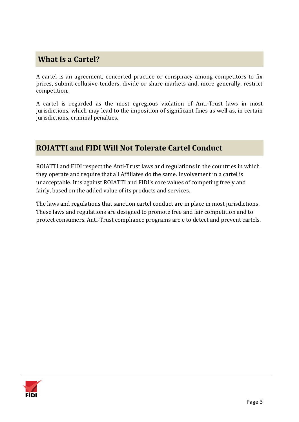# **What Is a Cartel?**

A cartel is an agreement, concerted practice or conspiracy among competitors to fix prices, submit collusive tenders, divide or share markets and, more generally, restrict competition.

A cartel is regarded as the most egregious violation of Anti-Trust laws in most jurisdictions, which may lead to the imposition of significant fines as well as, in certain jurisdictions, criminal penalties.

# **ROIATTI and FIDI Will Not Tolerate Cartel Conduct**

ROIATTI and FIDI respect the Anti-Trust laws and regulations in the countries in which they operate and require that all Affiliates do the same. Involvement in a cartel is unacceptable. It is against ROIATTI and FIDI's core values of competing freely and fairly, based on the added value of its products and services.

The laws and regulations that sanction cartel conduct are in place in most jurisdictions. These laws and regulations are designed to promote free and fair competition and to protect consumers. Anti-Trust compliance programs are e to detect and prevent cartels.

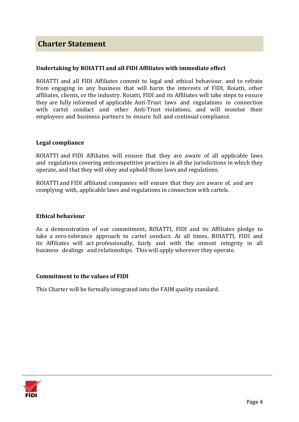## **Charter Statement**

#### **Undertaking by ROIATTI and all FIDI Affiliates with immediate effect**

ROIATTI and all FIDI Affiliates commit to legal and ethical behaviour, and to refrain from engaging in any business that will harm the interests of FIDI, Roiatti, other affiliates, clients, or the industry. Roiatti, FIDI and its Affiliates will take steps to ensure they are fully informed of applicable Anti-Trust laws and regulations in connection with cartel conduct and other Anti-Trust violations, and will monitor their employees and business partners to ensure full and continual compliance.

#### **Legal compliance**

ROIATTI and FIDI Affiliates will ensure that they are aware of all applicable laws and regulations covering anticompetitive practices in all the jurisdictions in which they operate, and that they will obey and uphold those laws and regulations.

ROIATTI and FIDI affiliated companies will ensure that they are aware of, and are complying with, applicable laws and regulations in connection with cartels.

#### **Ethical behaviour**

As a demonstration of our commitment, ROIATTI, FIDI and its Affiliates pledge to take a zero-tolerance approach to cartel conduct. At all times, ROIATTI, FIDI and its Affiliates will act professionally, fairly and with the utmost integrity in all business dealings and relationships. This will apply wherever they operate.

#### **Commitment to the values of FIDI**

This Charter will be formally integrated into the FAIM quality standard.

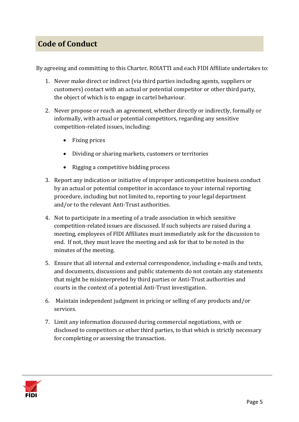# **Code of Conduct**

By agreeing and committing to this Charter, ROIATTI and each FIDI Affiliate undertakes to:

- 1. Never make direct or indirect (via third parties including agents, suppliers or customers) contact with an actual or potential competitor or other third party, the object of which is to engage in cartel behaviour.
- 2. Never propose or reach an agreement, whether directly or indirectly, formally or informally, with actual or potential competitors, regarding any sensitive competition-related issues, including:
	- Fixing prices
	- Dividing or sharing markets, customers or territories
	- Rigging a competitive bidding process
- 3. Report any indication or initiative of improper anticompetitive business conduct by an actual or potential competitor in accordance to your internal reporting procedure, including but not limited to, reporting to your legal department and/or to the relevant Anti-Trust authorities.
- 4. Not to participate in a meeting of a trade association in which sensitive competition-related issues are discussed. If such subjects are raised during a meeting, employees of FIDI Affiliates must immediately ask for the discussion to end. If not, they must leave the meeting and ask for that to be noted in the minutes of the meeting.
- 5. Ensure that all internal and external correspondence, including e-mails and texts, and documents, discussions and public statements do not contain any statements that might be misinterpreted by third parties or Anti-Trust authorities and courts in the context of a potential Anti-Trust investigation.
- 6. Maintain independent judgment in pricing or selling of any products and/or services.
- 7. Limit any information discussed during commercial negotiations, with or disclosed to competitors or other third parties, to that which is strictly necessary for completing or assessing the transaction.